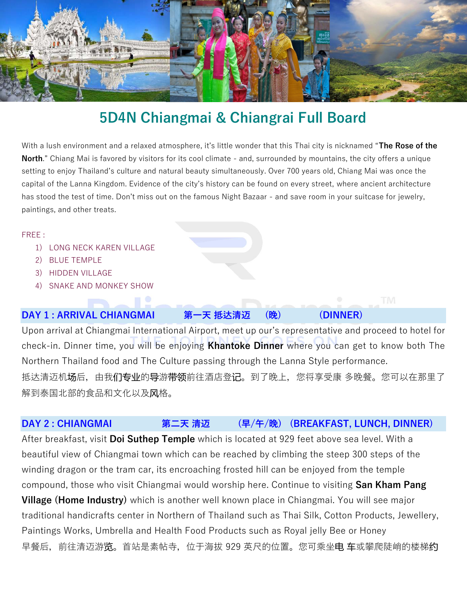

# **5D4N Chiangmai & Chiangrai Full Board**

With a lush environment and a relaxed atmosphere, it's little wonder that this Thai city is nicknamed "**The Rose of the North**." Chiang Mai is favored by visitors for its cool climate - and, surrounded by mountains, the city offers a unique setting to enjoy Thailand's culture and natural beauty simultaneously. Over 700 years old, Chiang Mai was once the capital of the Lanna Kingdom. Evidence of the city's history can be found on every street, where ancient architecture has stood the test of time. Don't miss out on the famous Night Bazaar - and save room in your suitcase for jewelry, paintings, and other treats.

#### FREE :

- 1) LONG NECK KAREN VILLAGE
- 2) BLUE TEMPLE
- 3) HIDDEN VILLAGE
- 4) SNAKE AND MONKEY SHOW

## **DAY 1 : ARRIVAL CHIANGMAI 第一天 抵达清迈 (晚) (DINNER)**

Upon arrival at Chiangmai International Airport, meet up our's representative and proceed to hotel for check-in. Dinner time, you will be enjoying **Khantoke Dinner** where you can get to know both The Northern Thailand food and The Culture passing through the Lanna Style performance. 抵达清迈机**场**后,由我**们专业**的导游**带领**前往酒店登记。到了晚上,您将享受康 多晚餐。您可以在那里了 解到泰国北部的食品和文化以及风格。

## **DAY 2 : CHIANGMAI 第二天 清迈 (早/午/晚) (BREAKFAST, LUNCH, DINNER)**

After breakfast, visit **Doi Suthep Temple** which is located at 929 feet above sea level. With a beautiful view of Chiangmai town which can be reached by climbing the steep 300 steps of the winding dragon or the tram car, its encroaching frosted hill can be enjoyed from the temple compound, those who visit Chiangmai would worship here. Continue to visiting **San Kham Pang Village (Home Industry)** which is another well known place in Chiangmai. You will see major traditional handicrafts center in Northern of Thailand such as Thai Silk, Cotton Products, Jewellery, Paintings Works, Umbrella and Health Food Products such as Royal jelly Bee or Honey 早餐后,前往清迈游览。首站是素帖寺,位于海拔 929 英尺的位置。您可乘坐电 车或攀爬陡峭的楼梯约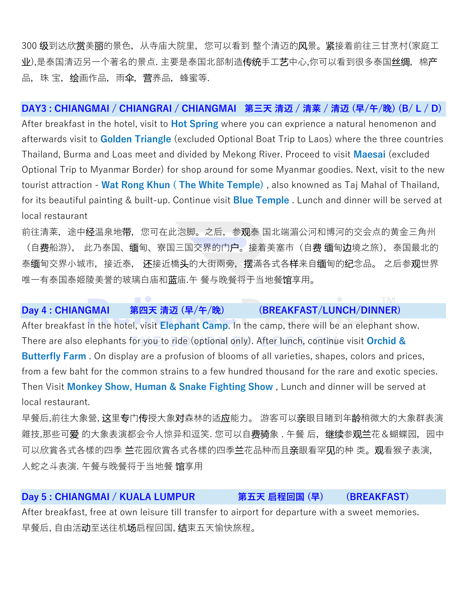300 级到达欣赏美丽的景色,从寺庙大院里,您可以看到 整个清迈的风景。紧接着前往三甘烹村(家庭工 业),是泰国清迈另一个著名的景点. 主要是泰国北部制造**传统**手工**艺**中心,你可以看到很多泰国**丝绸**,棉**产** 品,珠 宝,绘画作品,雨伞,营养品,蜂蜜等.

#### **DAY3 : CHIANGMAI / CHIANGRAI / CHIANGMAI 第三天 清迈 / 清莱 / 清迈 (早/午/晚) (B/ L / D)**

After breakfast in the hotel, visit to **Hot Spring** where you can exprience a natural henomenon and afterwards visit to **Golden Triangle** (excluded Optional Boat Trip to Laos) where the three countries Thailand, Burma and Loas meet and divided by Mekong River. Proceed to visit **Maesai** (excluded Optional Trip to Myanmar Border) for shop around for some Myanmar goodies. Next, visit to the new tourist attraction - **Wat Rong Khun ( The White Temple)** , also knowned as Taj Mahal of Thailand, for its beautiful painting & built-up. Continue visit **Blue Temple** . Lunch and dinner will be served at local restaurant

前往清莱,途中经温泉地带,您可在此泡脚。之后,参观泰 国北端湄公河和博河的交会点的黄金三角州 (自费船游), 此乃泰国、缅甸、寮国三国交界的门户。接着美塞市(自费 缅甸边境之旅),泰国最北的 泰缅甸交界小城市,接近泰, 还接近橋头的大街兩旁,摆滿各式各样来自缅甸的纪念品。 之后参观世界 唯一有泰国泰姬陵美誉的玻璃白庙和蓝庙.午 餐与晚餐将于当地餐馆享用。

#### **Day 4 : CHIANGMAI 第四天 清迈 (早/午/晚) (BREAKFAST/LUNCH/DINNER)**

After breakfast in the hotel, visit **Elephant Camp**. In the camp, there will be an elephant show. There are also elephants for you to ride (optional only). After lunch, continue visit **Orchid & Butterfly Farm** . On display are a profusion of blooms of all varieties, shapes, colors and prices, from a few baht for the common strains to a few hundred thousand for the rare and exotic species. Then Visit **Monkey Show, Human & Snake Fighting Show** , Lunch and dinner will be served at local restaurant.

早餐后,前往大象營, 这里专门传授大象对森林的适应能力。游客可以亲眼目睹到年龄稍微大的大象群表演 雜技,那些可**爱** 的大象表演都会令人惊异和逗笑. 您可以自**费骑**象 . 午餐 后,**继续**参**观兰**花&蝴蝶园,园中 可以欣賞各式各樣的四季 兰花品族的四季兰花品种而且亲眼看罕见的种 类。观看猴子表演, 人蛇之斗表演. 午餐与晚餐将于当地餐 馆享用

#### **Day 5 : CHIANGMAI / KUALA LUMPUR 第五天 启程回国 (早) (BREAKFAST)**

After breakfast, free at own leisure till transfer to airport for departure with a sweet memories. 早餐后, 自由活动至送往机场启程回国, 结束五天愉快旅程。